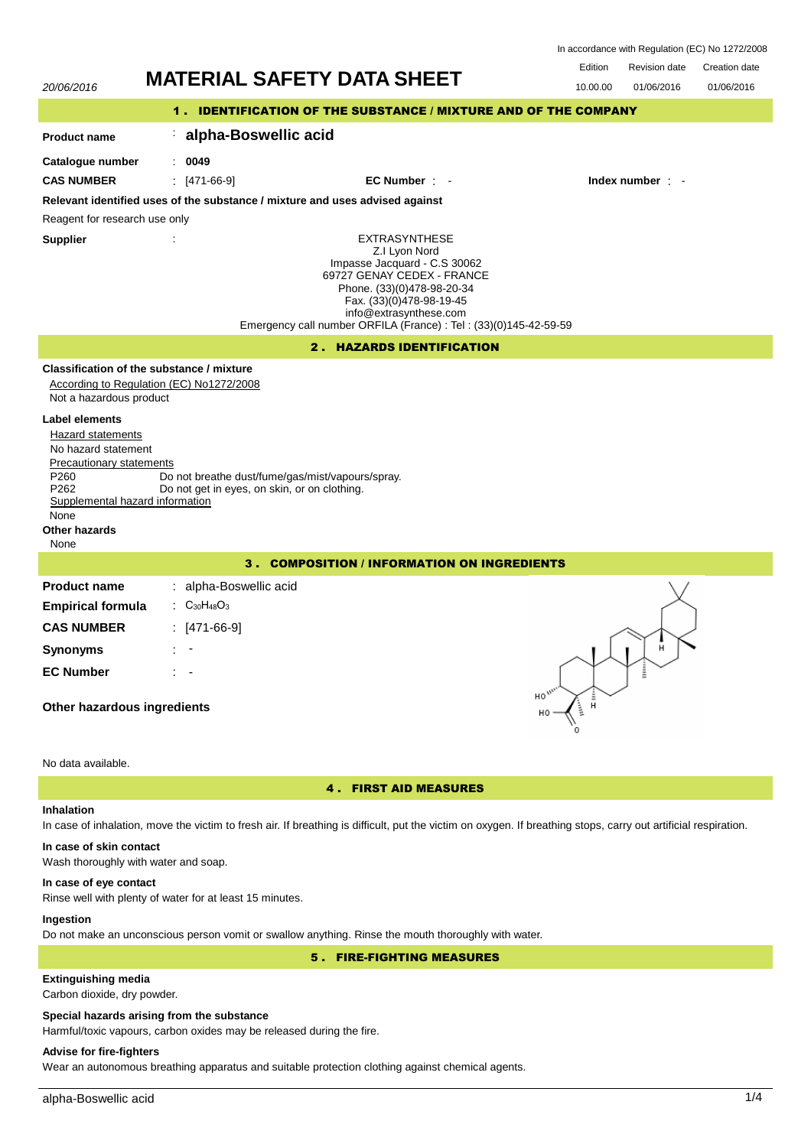| In accordance with Regulation (EC) No 1272/2008 |  |  |
|-------------------------------------------------|--|--|
|-------------------------------------------------|--|--|

20/06/2016 **MATERIAL SAFETY DATA SHEET** 10.00.00 01/06/2016 Edition Revision date Creation date 01/06/2016 1 . IDENTIFICATION OF THE SUBSTANCE / MIXTURE AND OF THE COMPANY **Product name Catalogue number** : **alpha-Boswellic acid** : **0049** EXTRASYNTHESE Z.I Lyon Nord Impasse Jacquard - C.S 30062 69727 GENAY CEDEX - FRANCE Phone. (33)(0)478-98-20-34 Fax. (33)(0)478-98-19-45 info@extrasynthese.com Emergency call number ORFILA (France) : Tel : (33)(0)145-42-59-59 **Supplier** : **Relevant identified uses of the substance / mixture and uses advised against** Reagent for research use only **CAS NUMBER** : [471-66-9] **EC Number** : - **Index number** : - 2 . HAZARDS IDENTIFICATION **Classification of the substance / mixture** According to Regulation (EC) No1272/2008 Not a hazardous product **Label elements** Hazard statements No hazard statement Precautionary statements P260 Do not breathe dust/fume/gas/mist/vapours/spray.<br>P262 Do not get in eves, on skin, or on clothing. Do not get in eyes, on skin, or on clothing. Supplemental hazard information None **Other hazards** None 3 . COMPOSITION / INFORMATION ON INGREDIENTS **Product name Empirical formula** : alpha-Boswellic acid : C30H48O<sup>3</sup> **CAS NUMBER** : [471-66-9] **Synonyms** : - **EC Number** : - **Other hazardous ingredients**

# No data available.

# 4 . FIRST AID MEASURES

# **Inhalation**

In case of inhalation, move the victim to fresh air. If breathing is difficult, put the victim on oxygen. If breathing stops, carry out artificial respiration.

# **In case of skin contact**

Wash thoroughly with water and soap.

## **In case of eye contact**

Rinse well with plenty of water for at least 15 minutes.

# **Ingestion**

Do not make an unconscious person vomit or swallow anything. Rinse the mouth thoroughly with water.

5 . FIRE-FIGHTING MEASURES

# **Extinguishing media**

Carbon dioxide, dry powder.

#### **Special hazards arising from the substance**

Harmful/toxic vapours, carbon oxides may be released during the fire.

# **Advise for fire-fighters**

Wear an autonomous breathing apparatus and suitable protection clothing against chemical agents.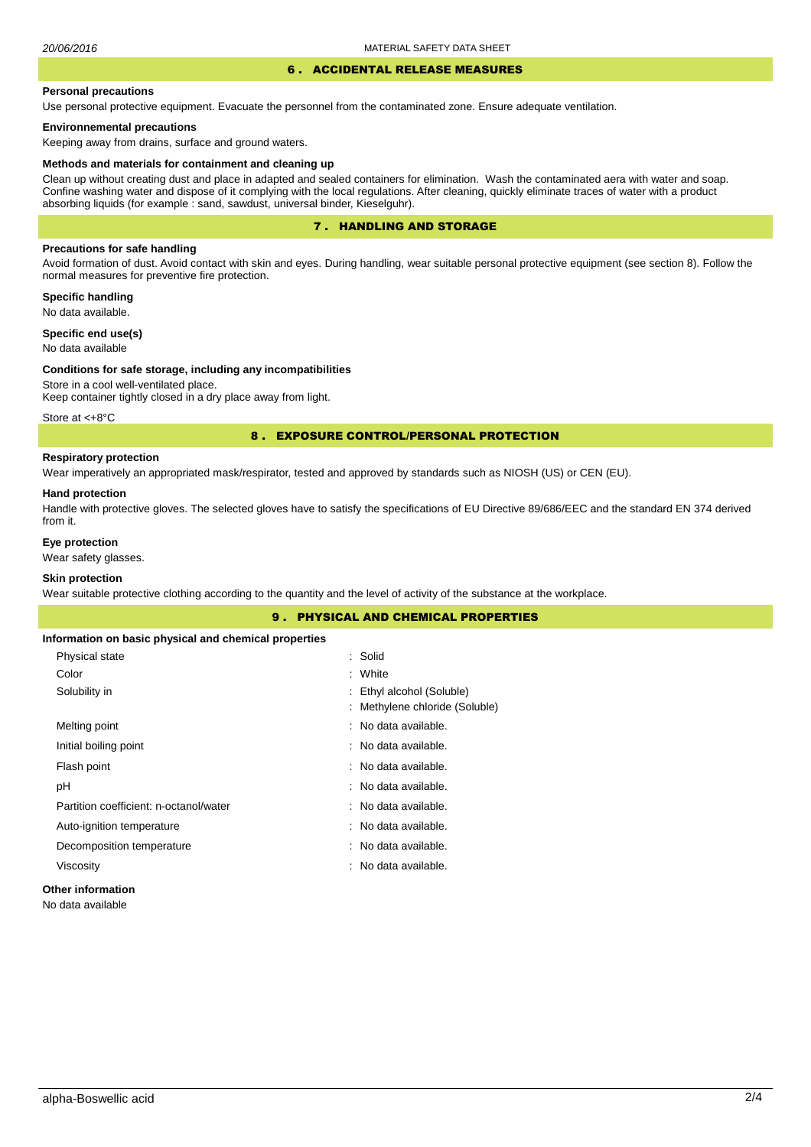# 6 . ACCIDENTAL RELEASE MEASURES

#### **Personal precautions**

Use personal protective equipment. Evacuate the personnel from the contaminated zone. Ensure adequate ventilation.

### **Environnemental precautions**

Keeping away from drains, surface and ground waters.

#### **Methods and materials for containment and cleaning up**

Clean up without creating dust and place in adapted and sealed containers for elimination. Wash the contaminated aera with water and soap. Confine washing water and dispose of it complying with the local regulations. After cleaning, quickly eliminate traces of water with a product absorbing liquids (for example : sand, sawdust, universal binder, Kieselguhr).

# 7 . HANDLING AND STORAGE

## **Precautions for safe handling**

Avoid formation of dust. Avoid contact with skin and eyes. During handling, wear suitable personal protective equipment (see section 8). Follow the normal measures for preventive fire protection.

**Specific handling** No data available.

**Specific end use(s)**

# No data available

#### **Conditions for safe storage, including any incompatibilities**

Store in a cool well-ventilated place. Keep container tightly closed in a dry place away from light.

Store at <+8°C

### 8 . EXPOSURE CONTROL/PERSONAL PROTECTION

# **Respiratory protection**

Wear imperatively an appropriated mask/respirator, tested and approved by standards such as NIOSH (US) or CEN (EU).

#### **Hand protection**

Handle with protective gloves. The selected gloves have to satisfy the specifications of EU Directive 89/686/EEC and the standard EN 374 derived from it.

# **Eye protection**

Wear safety glasses.

# **Skin protection**

Wear suitable protective clothing according to the quantity and the level of activity of the substance at the workplace.

|                                                       | <b>9. PHYSICAL AND CHEMICAL PROPERTIES</b> |  |
|-------------------------------------------------------|--------------------------------------------|--|
| Information on basic physical and chemical properties |                                            |  |
| Physical state                                        | : Solid                                    |  |
| Color                                                 | : White                                    |  |
| Solubility in                                         | : Ethyl alcohol (Soluble)                  |  |
|                                                       | : Methylene chloride (Soluble)             |  |
| Melting point                                         | : No data available.                       |  |
| Initial boiling point                                 | : No data available.                       |  |
| Flash point                                           | : No data available.                       |  |
| рH                                                    | : No data available.                       |  |
| Partition coefficient: n-octanol/water                | : No data available.                       |  |
| Auto-ignition temperature                             | : No data available.                       |  |
| Decomposition temperature                             | : No data available.                       |  |
| Viscosity                                             | : No data available.                       |  |
| Other information                                     |                                            |  |

No data available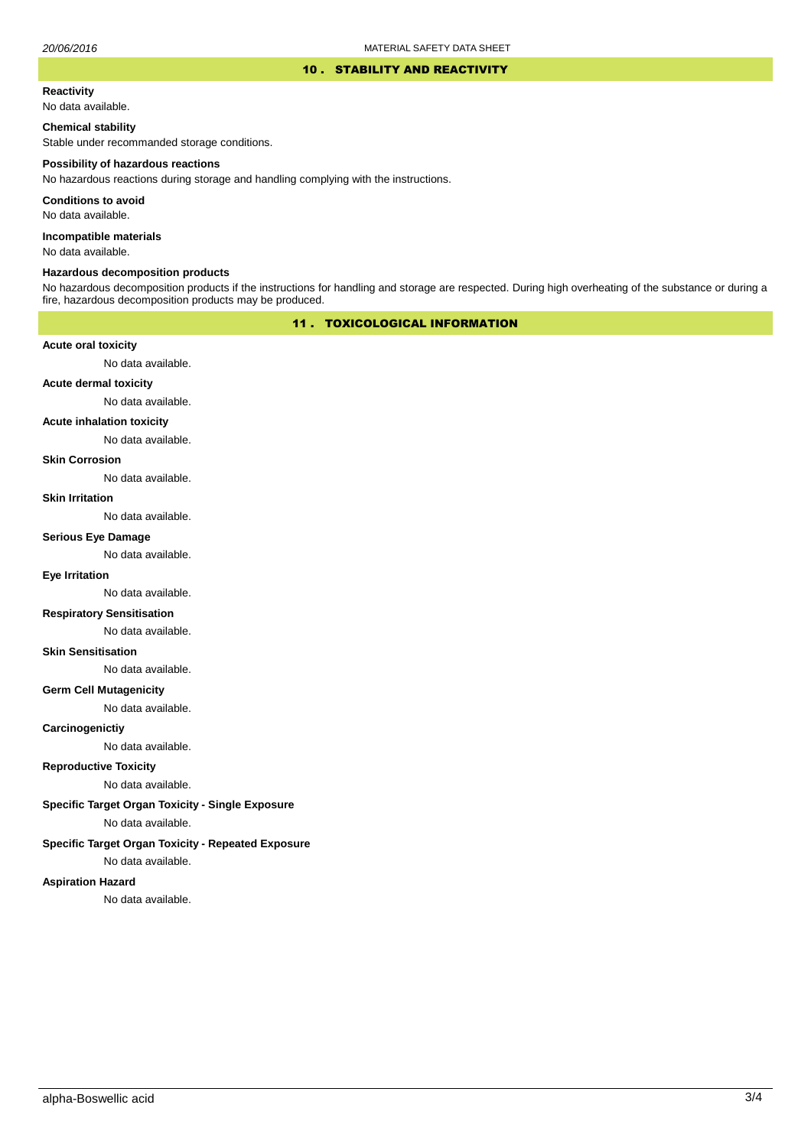#### 10 . STABILITY AND REACTIVITY

#### **Reactivity**

No data available.

### **Chemical stability**

Stable under recommanded storage conditions.

#### **Possibility of hazardous reactions**

No hazardous reactions during storage and handling complying with the instructions.

**Conditions to avoid**

No data available.

**Incompatible materials**

No data available.

#### **Hazardous decomposition products**

No hazardous decomposition products if the instructions for handling and storage are respected. During high overheating of the substance or during a fire, hazardous decomposition products may be produced.

# 11 . TOXICOLOGICAL INFORMATION

### **Acute oral toxicity**

No data available.

# **Acute dermal toxicity**

No data available.

### **Acute inhalation toxicity**

No data available.

# **Skin Corrosion**

No data available.

#### **Skin Irritation**

No data available.

# **Serious Eye Damage**

No data available.

# **Eye Irritation**

No data available.

### **Respiratory Sensitisation**

No data available.

#### **Skin Sensitisation**

No data available.

# **Germ Cell Mutagenicity**

No data available.

### **Carcinogenictiy**

No data available.

# **Reproductive Toxicity**

No data available.

# **Specific Target Organ Toxicity - Single Exposure**

No data available.

## **Specific Target Organ Toxicity - Repeated Exposure**

No data available.

#### **Aspiration Hazard**

No data available.